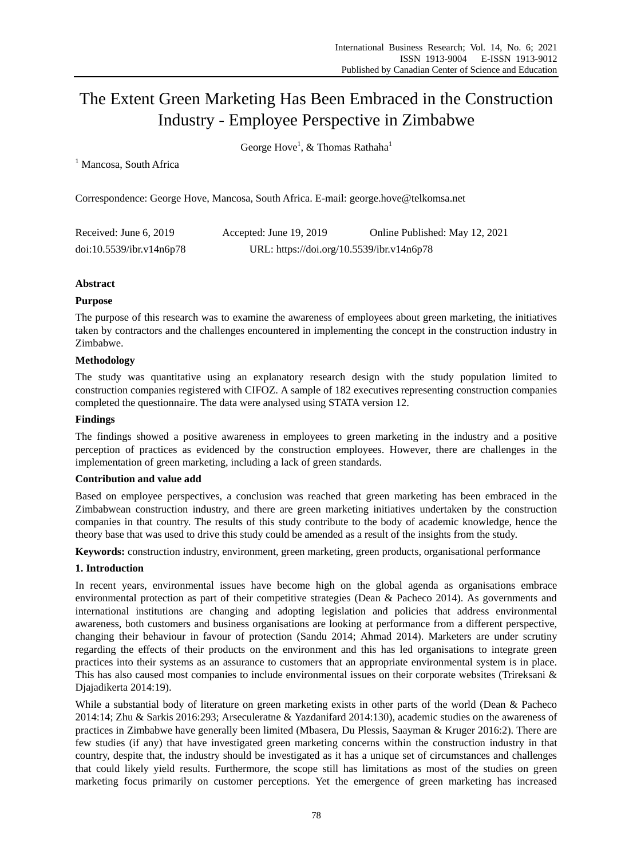# The Extent Green Marketing Has Been Embraced in the Construction Industry - Employee Perspective in Zimbabwe

George Hove<sup>1</sup>, & Thomas Rathaha<sup>1</sup>

<sup>1</sup> Mancosa, South Africa

Correspondence: George Hove, Mancosa, South Africa. E-mail: george.hove@telkomsa.net

| Received: June 6, 2019   | Accepted: June 19, 2019                   |  |
|--------------------------|-------------------------------------------|--|
| doi:10.5539/ibr.v14n6p78 | URL: https://doi.org/10.5539/ibr.v14n6p78 |  |

# **Abstract**

# **Purpose**

The purpose of this research was to examine the awareness of employees about green marketing, the initiatives taken by contractors and the challenges encountered in implementing the concept in the construction industry in Zimbabwe.

# **Methodology**

The study was quantitative using an explanatory research design with the study population limited to construction companies registered with CIFOZ. A sample of 182 executives representing construction companies completed the questionnaire. The data were analysed using STATA version 12.

# **Findings**

The findings showed a positive awareness in employees to green marketing in the industry and a positive perception of practices as evidenced by the construction employees. However, there are challenges in the implementation of green marketing, including a lack of green standards.

# **Contribution and value add**

Based on employee perspectives, a conclusion was reached that green marketing has been embraced in the Zimbabwean construction industry, and there are green marketing initiatives undertaken by the construction companies in that country. The results of this study contribute to the body of academic knowledge, hence the theory base that was used to drive this study could be amended as a result of the insights from the study.

**Keywords:** construction industry, environment, green marketing, green products, organisational performance

# **1. Introduction**

In recent years, environmental issues have become high on the global agenda as organisations embrace environmental protection as part of their competitive strategies (Dean & Pacheco 2014). As governments and international institutions are changing and adopting legislation and policies that address environmental awareness, both customers and business organisations are looking at performance from a different perspective, changing their behaviour in favour of protection (Sandu 2014; Ahmad 2014). Marketers are under scrutiny regarding the effects of their products on the environment and this has led organisations to integrate green practices into their systems as an assurance to customers that an appropriate environmental system is in place. This has also caused most companies to include environmental issues on their corporate websites (Trireksani & Djajadikerta 2014:19).

While a substantial body of literature on green marketing exists in other parts of the world (Dean & Pacheco 2014:14; Zhu & Sarkis 2016:293; Arseculeratne & Yazdanifard 2014:130), academic studies on the awareness of practices in Zimbabwe have generally been limited (Mbasera, Du Plessis, Saayman & Kruger 2016:2). There are few studies (if any) that have investigated green marketing concerns within the construction industry in that country, despite that, the industry should be investigated as it has a unique set of circumstances and challenges that could likely yield results. Furthermore, the scope still has limitations as most of the studies on green marketing focus primarily on customer perceptions. Yet the emergence of green marketing has increased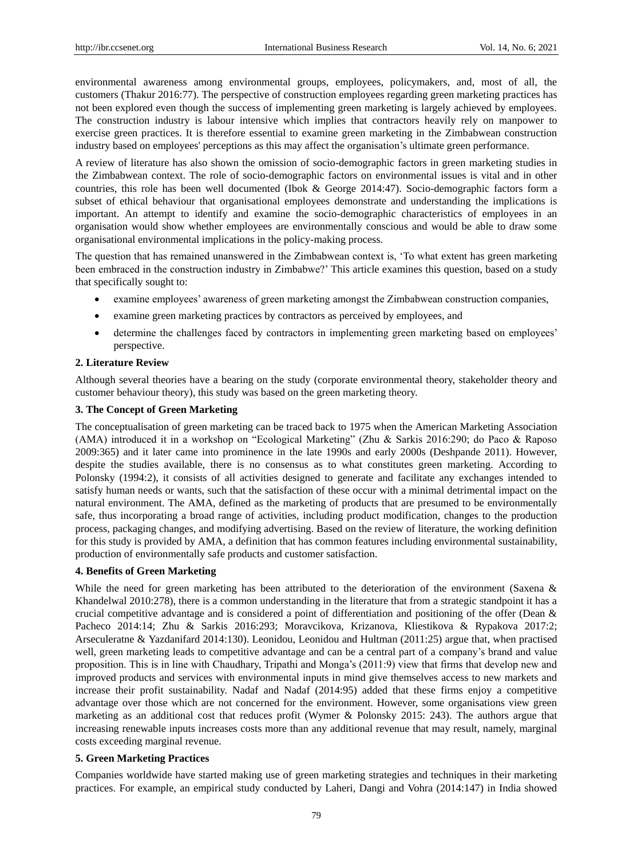environmental awareness among environmental groups, employees, policymakers, and, most of all, the customers (Thakur 2016:77). The perspective of construction employees regarding green marketing practices has not been explored even though the success of implementing green marketing is largely achieved by employees. The construction industry is labour intensive which implies that contractors heavily rely on manpower to exercise green practices. It is therefore essential to examine green marketing in the Zimbabwean construction industry based on employees' perceptions as this may affect the organisation"s ultimate green performance.

A review of literature has also shown the omission of socio-demographic factors in green marketing studies in the Zimbabwean context. The role of socio-demographic factors on environmental issues is vital and in other countries, this role has been well documented (Ibok & George 2014:47). Socio-demographic factors form a subset of ethical behaviour that organisational employees demonstrate and understanding the implications is important. An attempt to identify and examine the socio-demographic characteristics of employees in an organisation would show whether employees are environmentally conscious and would be able to draw some organisational environmental implications in the policy-making process.

The question that has remained unanswered in the Zimbabwean context is, "To what extent has green marketing been embraced in the construction industry in Zimbabwe?" This article examines this question, based on a study that specifically sought to:

- examine employees" awareness of green marketing amongst the Zimbabwean construction companies,
- examine green marketing practices by contractors as perceived by employees, and
- determine the challenges faced by contractors in implementing green marketing based on employees' perspective.

#### **2. Literature Review**

Although several theories have a bearing on the study (corporate environmental theory, stakeholder theory and customer behaviour theory), this study was based on the green marketing theory.

## **3. The Concept of Green Marketing**

The conceptualisation of green marketing can be traced back to 1975 when the American Marketing Association (AMA) introduced it in a workshop on "Ecological Marketing" (Zhu & Sarkis 2016:290; do Paco & Raposo 2009:365) and it later came into prominence in the late 1990s and early 2000s (Deshpande 2011). However, despite the studies available, there is no consensus as to what constitutes green marketing. According to Polonsky (1994:2), it consists of all activities designed to generate and facilitate any exchanges intended to satisfy human needs or wants, such that the satisfaction of these occur with a minimal detrimental impact on the natural environment. The AMA, defined as the marketing of products that are presumed to be environmentally safe, thus incorporating a broad range of activities, including product modification, changes to the production process, packaging changes, and modifying advertising. Based on the review of literature, the working definition for this study is provided by AMA, a definition that has common features including environmental sustainability, production of environmentally safe products and customer satisfaction.

## **4. Benefits of Green Marketing**

While the need for green marketing has been attributed to the deterioration of the environment (Saxena & Khandelwal 2010:278), there is a common understanding in the literature that from a strategic standpoint it has a crucial competitive advantage and is considered a point of differentiation and positioning of the offer (Dean & Pacheco 2014:14; Zhu & Sarkis 2016:293; Moravcikova, Krizanova, Kliestikova & Rypakova 2017:2; Arseculeratne & Yazdanifard 2014:130). Leonidou, Leonidou and Hultman (2011:25) argue that, when practised well, green marketing leads to competitive advantage and can be a central part of a company"s brand and value proposition. This is in line with Chaudhary, Tripathi and Monga"s (2011:9) view that firms that develop new and improved products and services with environmental inputs in mind give themselves access to new markets and increase their profit sustainability. Nadaf and Nadaf (2014:95) added that these firms enjoy a competitive advantage over those which are not concerned for the environment. However, some organisations view green marketing as an additional cost that reduces profit (Wymer & Polonsky 2015: 243). The authors argue that increasing renewable inputs increases costs more than any additional revenue that may result, namely, marginal costs exceeding marginal revenue.

#### **5. Green Marketing Practices**

Companies worldwide have started making use of green marketing strategies and techniques in their marketing practices. For example, an empirical study conducted by Laheri, Dangi and Vohra (2014:147) in India showed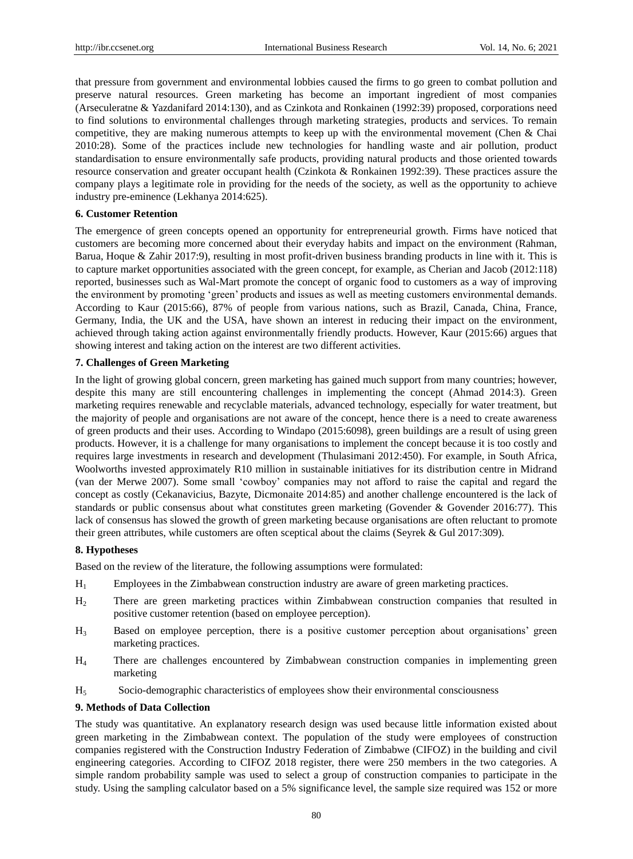that pressure from government and environmental lobbies caused the firms to go green to combat pollution and preserve natural resources. Green marketing has become an important ingredient of most companies (Arseculeratne & Yazdanifard 2014:130), and as Czinkota and Ronkainen (1992:39) proposed, corporations need to find solutions to environmental challenges through marketing strategies, products and services. To remain competitive, they are making numerous attempts to keep up with the environmental movement (Chen & Chai 2010:28). Some of the practices include new technologies for handling waste and air pollution, product standardisation to ensure environmentally safe products, providing natural products and those oriented towards resource conservation and greater occupant health (Czinkota & Ronkainen 1992:39). These practices assure the company plays a legitimate role in providing for the needs of the society, as well as the opportunity to achieve industry pre-eminence (Lekhanya 2014:625).

## **6. Customer Retention**

The emergence of green concepts opened an opportunity for entrepreneurial growth. Firms have noticed that customers are becoming more concerned about their everyday habits and impact on the environment (Rahman, Barua, Hoque & Zahir 2017:9), resulting in most profit-driven business branding products in line with it. This is to capture market opportunities associated with the green concept, for example, as Cherian and Jacob (2012:118) reported, businesses such as Wal-Mart promote the concept of organic food to customers as a way of improving the environment by promoting "green" products and issues as well as meeting customers environmental demands. According to Kaur (2015:66), 87% of people from various nations, such as Brazil, Canada, China, France, Germany, India, the UK and the USA, have shown an interest in reducing their impact on the environment, achieved through taking action against environmentally friendly products. However, Kaur (2015:66) argues that showing interest and taking action on the interest are two different activities.

## **7. Challenges of Green Marketing**

In the light of growing global concern, green marketing has gained much support from many countries; however, despite this many are still encountering challenges in implementing the concept (Ahmad 2014:3). Green marketing requires renewable and recyclable materials, advanced technology, especially for water treatment, but the majority of people and organisations are not aware of the concept, hence there is a need to create awareness of green products and their uses. According to Windapo (2015:6098), green buildings are a result of using green products. However, it is a challenge for many organisations to implement the concept because it is too costly and requires large investments in research and development (Thulasimani 2012:450). For example, in South Africa, Woolworths invested approximately R10 million in sustainable initiatives for its distribution centre in Midrand (van der Merwe 2007). Some small "cowboy" companies may not afford to raise the capital and regard the concept as costly (Cekanavicius, Bazyte, Dicmonaite 2014:85) and another challenge encountered is the lack of standards or public consensus about what constitutes green marketing (Govender & Govender 2016:77). This lack of consensus has slowed the growth of green marketing because organisations are often reluctant to promote their green attributes, while customers are often sceptical about the claims (Seyrek & Gul 2017:309).

#### **8. Hypotheses**

Based on the review of the literature, the following assumptions were formulated:

- H<sup>1</sup> Employees in the Zimbabwean construction industry are aware of green marketing practices.
- H<sup>2</sup> There are green marketing practices within Zimbabwean construction companies that resulted in positive customer retention (based on employee perception).
- H<sup>3</sup> Based on employee perception, there is a positive customer perception about organisations" green marketing practices.
- H<sup>4</sup> There are challenges encountered by Zimbabwean construction companies in implementing green marketing
- H5 Socio-demographic characteristics of employees show their environmental consciousness

#### **9. Methods of Data Collection**

The study was quantitative. An explanatory research design was used because little information existed about green marketing in the Zimbabwean context. The population of the study were employees of construction companies registered with the Construction Industry Federation of Zimbabwe (CIFOZ) in the building and civil engineering categories. According to CIFOZ 2018 register, there were 250 members in the two categories. A simple random probability sample was used to select a group of construction companies to participate in the study. Using the sampling calculator based on a 5% significance level, the sample size required was 152 or more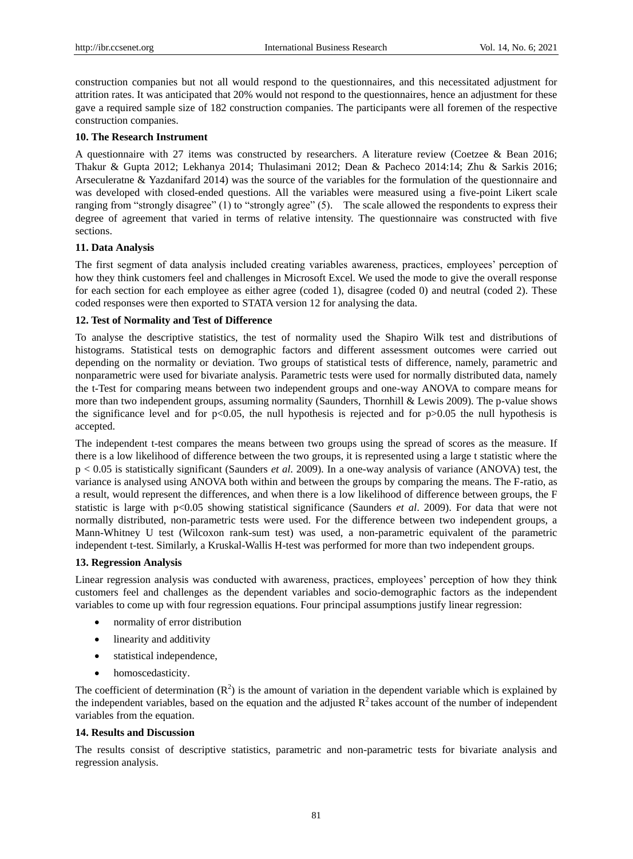construction companies but not all would respond to the questionnaires, and this necessitated adjustment for attrition rates. It was anticipated that 20% would not respond to the questionnaires, hence an adjustment for these gave a required sample size of 182 construction companies. The participants were all foremen of the respective construction companies.

## **10. The Research Instrument**

A questionnaire with 27 items was constructed by researchers. A literature review (Coetzee & Bean 2016; Thakur & Gupta 2012; Lekhanya 2014; Thulasimani 2012; Dean & Pacheco 2014:14; Zhu & Sarkis 2016; Arseculeratne & Yazdanifard 2014) was the source of the variables for the formulation of the questionnaire and was developed with closed-ended questions. All the variables were measured using a five-point Likert scale ranging from "strongly disagree" (1) to "strongly agree" (5). The scale allowed the respondents to express their degree of agreement that varied in terms of relative intensity. The questionnaire was constructed with five sections.

## **11. Data Analysis**

The first segment of data analysis included creating variables awareness, practices, employees" perception of how they think customers feel and challenges in Microsoft Excel. We used the mode to give the overall response for each section for each employee as either agree (coded 1), disagree (coded 0) and neutral (coded 2). These coded responses were then exported to STATA version 12 for analysing the data.

## **12. Test of Normality and Test of Difference**

To analyse the descriptive statistics, the test of normality used the Shapiro Wilk test and distributions of histograms. Statistical tests on demographic factors and different assessment outcomes were carried out depending on the normality or deviation. Two groups of statistical tests of difference, namely, parametric and nonparametric were used for bivariate analysis. Parametric tests were used for normally distributed data, namely the t-Test for comparing means between two independent groups and one-way ANOVA to compare means for more than two independent groups, assuming normality (Saunders, Thornhill & Lewis 2009). The p-value shows the significance level and for  $p<0.05$ , the null hypothesis is rejected and for  $p>0.05$  the null hypothesis is accepted.

The independent t-test compares the means between two groups using the spread of scores as the measure. If there is a low likelihood of difference between the two groups, it is represented using a large t statistic where the p < 0.05 is statistically significant (Saunders *et al*. 2009). In a one-way analysis of variance (ANOVA) test, the variance is analysed using ANOVA both within and between the groups by comparing the means. The F-ratio, as a result, would represent the differences, and when there is a low likelihood of difference between groups, the F statistic is large with p<0.05 showing statistical significance (Saunders *et al*. 2009). For data that were not normally distributed, non-parametric tests were used. For the difference between two independent groups, a Mann-Whitney U test (Wilcoxon rank-sum test) was used, a non-parametric equivalent of the parametric independent t-test. Similarly, a Kruskal-Wallis H-test was performed for more than two independent groups.

# **13. Regression Analysis**

Linear regression analysis was conducted with awareness, practices, employees" perception of how they think customers feel and challenges as the dependent variables and socio-demographic factors as the independent variables to come up with four regression equations. Four principal assumptions justify linear regression:

- normality of error distribution
- linearity and additivity
- statistical independence,
- homoscedasticity.

The coefficient of determination  $(R^2)$  is the amount of variation in the dependent variable which is explained by the independent variables, based on the equation and the adjusted  $R^2$  takes account of the number of independent variables from the equation.

#### **14. Results and Discussion**

The results consist of descriptive statistics, parametric and non-parametric tests for bivariate analysis and regression analysis.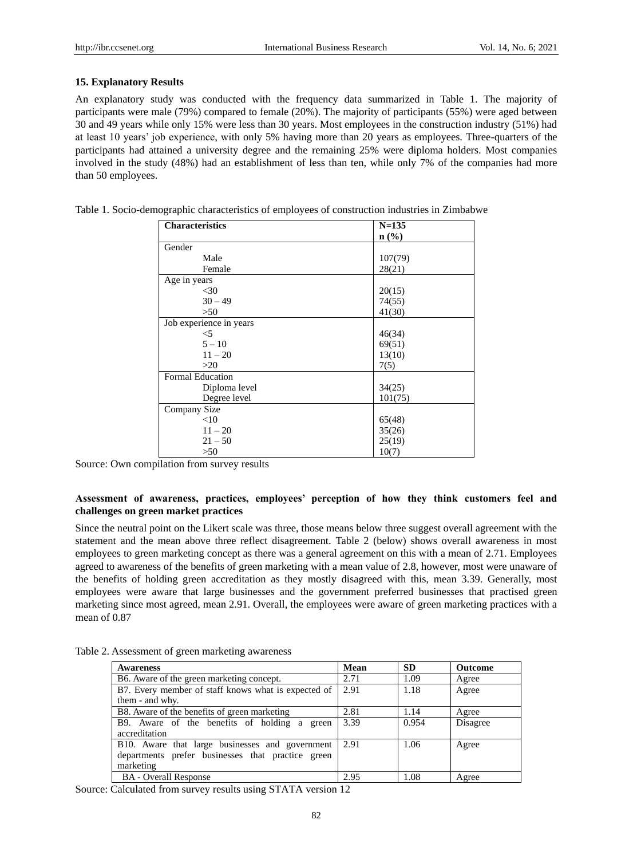## **15. Explanatory Results**

An explanatory study was conducted with the frequency data summarized in Table 1. The majority of participants were male (79%) compared to female (20%). The majority of participants (55%) were aged between 30 and 49 years while only 15% were less than 30 years. Most employees in the construction industry (51%) had at least 10 years" job experience, with only 5% having more than 20 years as employees. Three-quarters of the participants had attained a university degree and the remaining 25% were diploma holders. Most companies involved in the study (48%) had an establishment of less than ten, while only 7% of the companies had more than 50 employees.

| <b>Characteristics</b>  | $N = 135$        |
|-------------------------|------------------|
|                         | $\mathbf{n}(\%)$ |
| Gender                  |                  |
| Male                    | 107(79)          |
| Female                  | 28(21)           |
| Age in years            |                  |
| $<$ 30                  | 20(15)           |
| $30 - 49$               | 74(55)           |
| >50                     | 41(30)           |
| Job experience in years |                  |
| $<$ 5                   | 46(34)           |
| $5 - 10$                | 69(51)           |
| $11 - 20$               | 13(10)           |
| >20                     | 7(5)             |
| <b>Formal Education</b> |                  |
| Diploma level           | 34(25)           |
| Degree level            | 101(75)          |
| Company Size            |                  |
| <10                     | 65(48)           |
| $11 - 20$               | 35(26)           |
| $21 - 50$               | 25(19)           |
| >50                     | 10(7)            |

Table 1. Socio-demographic characteristics of employees of construction industries in Zimbabwe

Source: Own compilation from survey results

# **Assessment of awareness, practices, employees' perception of how they think customers feel and challenges on green market practices**

Since the neutral point on the Likert scale was three, those means below three suggest overall agreement with the statement and the mean above three reflect disagreement. Table 2 (below) shows overall awareness in most employees to green marketing concept as there was a general agreement on this with a mean of 2.71. Employees agreed to awareness of the benefits of green marketing with a mean value of 2.8, however, most were unaware of the benefits of holding green accreditation as they mostly disagreed with this, mean 3.39. Generally, most employees were aware that large businesses and the government preferred businesses that practised green marketing since most agreed, mean 2.91. Overall, the employees were aware of green marketing practices with a mean of 0.87

| Table 2. Assessment of green marketing awareness |  |  |  |  |
|--------------------------------------------------|--|--|--|--|
|--------------------------------------------------|--|--|--|--|

| <b>Awareness</b>                                    | Mean | <b>SD</b> | <b>Outcome</b> |
|-----------------------------------------------------|------|-----------|----------------|
| B6. Aware of the green marketing concept.           | 2.71 | 1.09      | Agree          |
| B7. Every member of staff knows what is expected of | 2.91 | 1.18      | Agree          |
| them - and why.                                     |      |           |                |
| B8. Aware of the benefits of green marketing        | 2.81 | 1.14      | Agree          |
| B9. Aware of the benefits of holding a green        | 3.39 | 0.954     | Disagree       |
| accreditation                                       |      |           |                |
| B10. Aware that large businesses and government     | 2.91 | 1.06      | Agree          |
| departments prefer businesses that practice green   |      |           |                |
| marketing                                           |      |           |                |
| <b>BA</b> - Overall Response                        | 2.95 | 1.08      | Agree          |

Source: Calculated from survey results using STATA version 12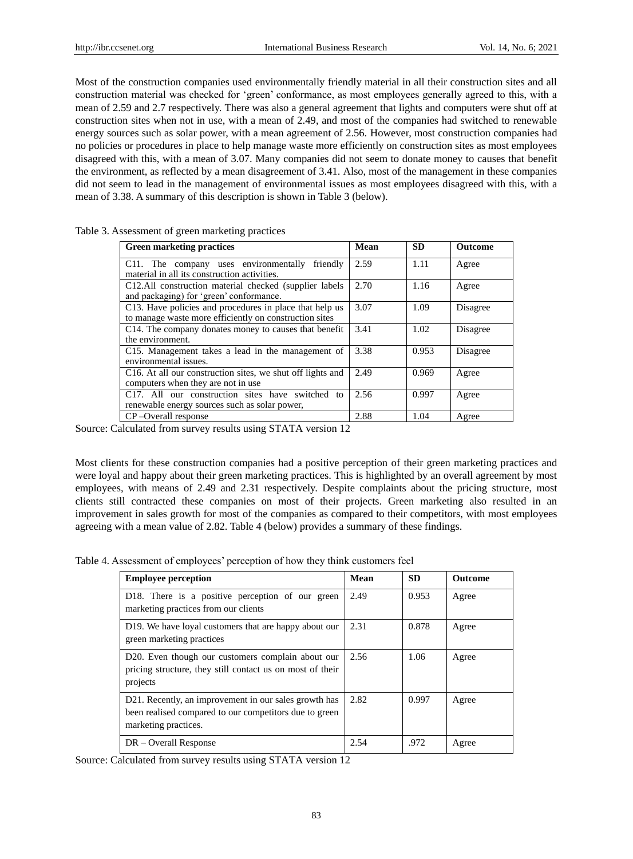Most of the construction companies used environmentally friendly material in all their construction sites and all construction material was checked for "green" conformance, as most employees generally agreed to this, with a mean of 2.59 and 2.7 respectively. There was also a general agreement that lights and computers were shut off at construction sites when not in use, with a mean of 2.49, and most of the companies had switched to renewable energy sources such as solar power, with a mean agreement of 2.56. However, most construction companies had no policies or procedures in place to help manage waste more efficiently on construction sites as most employees disagreed with this, with a mean of 3.07. Many companies did not seem to donate money to causes that benefit the environment, as reflected by a mean disagreement of 3.41. Also, most of the management in these companies did not seem to lead in the management of environmental issues as most employees disagreed with this, with a mean of 3.38. A summary of this description is shown in Table 3 (below).

| <b>Green marketing practices</b>                                                                                  | Mean | <b>SD</b> | <b>Outcome</b> |
|-------------------------------------------------------------------------------------------------------------------|------|-----------|----------------|
| C11. The company uses environmentally<br>friendly<br>material in all its construction activities.                 | 2.59 | 1.11      | Agree          |
| C12.All construction material checked (supplier labels<br>and packaging) for 'green' conformance.                 | 2.70 | 1.16      | Agree          |
| C13. Have policies and procedures in place that help us<br>to manage waste more efficiently on construction sites | 3.07 | 1.09      | Disagree       |
| C <sub>14</sub> . The company donates money to causes that benefit<br>the environment.                            | 3.41 | 1.02      | Disagree       |
| C15. Management takes a lead in the management of<br>environmental issues.                                        | 3.38 | 0.953     | Disagree       |
| C <sub>16</sub> . At all our construction sites, we shut off lights and<br>computers when they are not in use     | 2.49 | 0.969     | Agree          |
| C <sub>17</sub> . All our construction sites have switched to<br>renewable energy sources such as solar power,    | 2.56 | 0.997     | Agree          |
| CP-Overall response                                                                                               | 2.88 | 1.04      | Agree          |

Table 3. Assessment of green marketing practices

Source: Calculated from survey results using STATA version 12

Most clients for these construction companies had a positive perception of their green marketing practices and were loyal and happy about their green marketing practices. This is highlighted by an overall agreement by most employees, with means of 2.49 and 2.31 respectively. Despite complaints about the pricing structure, most clients still contracted these companies on most of their projects. Green marketing also resulted in an improvement in sales growth for most of the companies as compared to their competitors, with most employees agreeing with a mean value of 2.82. Table 4 (below) provides a summary of these findings.

Table 4. Assessment of employees" perception of how they think customers feel

| <b>Employee perception</b>                                                                                                              | Mean | <b>SD</b> | <b>Outcome</b> |
|-----------------------------------------------------------------------------------------------------------------------------------------|------|-----------|----------------|
| D18. There is a positive perception of our green<br>marketing practices from our clients                                                | 2.49 | 0.953     | Agree          |
| D19. We have loyal customers that are happy about our<br>green marketing practices                                                      | 2.31 | 0.878     | Agree          |
| D <sub>20</sub> . Even though our customers complain about our<br>pricing structure, they still contact us on most of their<br>projects | 2.56 | 1.06      | Agree          |
| D21. Recently, an improvement in our sales growth has<br>been realised compared to our competitors due to green<br>marketing practices. | 2.82 | 0.997     | Agree          |
| $DR - Overall$ Response                                                                                                                 | 2.54 | .972      | Agree          |

Source: Calculated from survey results using STATA version 12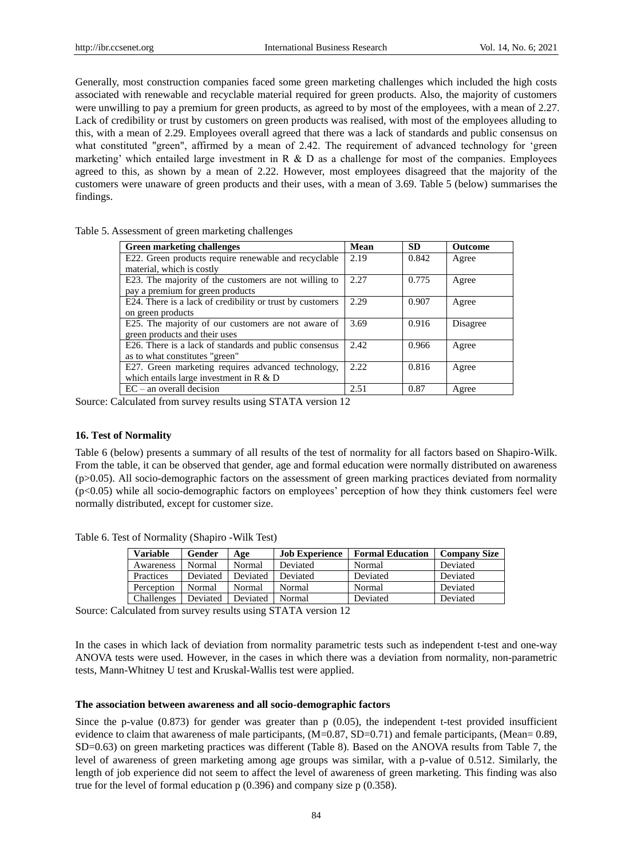Generally, most construction companies faced some green marketing challenges which included the high costs associated with renewable and recyclable material required for green products. Also, the majority of customers were unwilling to pay a premium for green products, as agreed to by most of the employees, with a mean of 2.27. Lack of credibility or trust by customers on green products was realised, with most of the employees alluding to this, with a mean of 2.29. Employees overall agreed that there was a lack of standards and public consensus on what constituted "green", affirmed by a mean of 2.42. The requirement of advanced technology for 'green marketing' which entailed large investment in R  $\&$  D as a challenge for most of the companies. Employees agreed to this, as shown by a mean of 2.22. However, most employees disagreed that the majority of the customers were unaware of green products and their uses, with a mean of 3.69. Table 5 (below) summarises the findings.

| <b>Green marketing challenges</b>                         | Mean  | <b>SD</b> | <b>Outcome</b> |
|-----------------------------------------------------------|-------|-----------|----------------|
| E22. Green products require renewable and recyclable      | 2.19  | 0.842     | Agree          |
| material, which is costly                                 |       |           |                |
| E23. The majority of the customers are not willing to     | 2.27  | 0.775     | Agree          |
| pay a premium for green products                          |       |           |                |
| E24. There is a lack of credibility or trust by customers | 2.29  | 0.907     | Agree          |
| on green products                                         |       |           |                |
| E25. The majority of our customers are not aware of       | 3.69  | 0.916     | Disagree       |
| green products and their uses                             |       |           |                |
| E26. There is a lack of standards and public consensus    | 2.42  | 0.966     | Agree          |
| as to what constitutes "green"                            |       |           |                |
| E27. Green marketing requires advanced technology,        | 2.22. | 0.816     | Agree          |
| which entails large investment in R & D                   |       |           |                |
| $EC - an overall decision$                                | 2.51  | 0.87      | Agree          |

Table 5. Assessment of green marketing challenges

Source: Calculated from survey results using STATA version 12

## **16. Test of Normality**

Table 6 (below) presents a summary of all results of the test of normality for all factors based on Shapiro-Wilk. From the table, it can be observed that gender, age and formal education were normally distributed on awareness  $(p>0.05)$ . All socio-demographic factors on the assessment of green marking practices deviated from normality (p<0.05) while all socio-demographic factors on employees" perception of how they think customers feel were normally distributed, except for customer size.

Table 6. Test of Normality (Shapiro -Wilk Test)

| <b>Variable</b> | Gender   | Age      | <b>Job Experience</b> | <b>Formal Education</b> | <b>Company Size</b> |
|-----------------|----------|----------|-----------------------|-------------------------|---------------------|
| Awareness       | Normal   | Normal   | Deviated              | Normal                  | Deviated            |
| Practices       | Deviated | Deviated | Deviated              | Deviated                | Deviated            |
| Perception      | Normal   | Normal   | Normal                | Normal                  | Deviated            |
| Challenges      | Deviated | Deviated | Normal                | Deviated                | Deviated            |

Source: Calculated from survey results using STATA version 12

In the cases in which lack of deviation from normality parametric tests such as independent t-test and one-way ANOVA tests were used. However, in the cases in which there was a deviation from normality, non-parametric tests, Mann-Whitney U test and Kruskal-Wallis test were applied.

#### **The association between awareness and all socio-demographic factors**

Since the p-value  $(0.873)$  for gender was greater than p  $(0.05)$ , the independent t-test provided insufficient evidence to claim that awareness of male participants,  $(M=0.87, SD=0.71)$  and female participants,  $(M=0.89,$ SD=0.63) on green marketing practices was different (Table 8). Based on the ANOVA results from Table 7, the level of awareness of green marketing among age groups was similar, with a p-value of 0.512. Similarly, the length of job experience did not seem to affect the level of awareness of green marketing. This finding was also true for the level of formal education p (0.396) and company size p (0.358).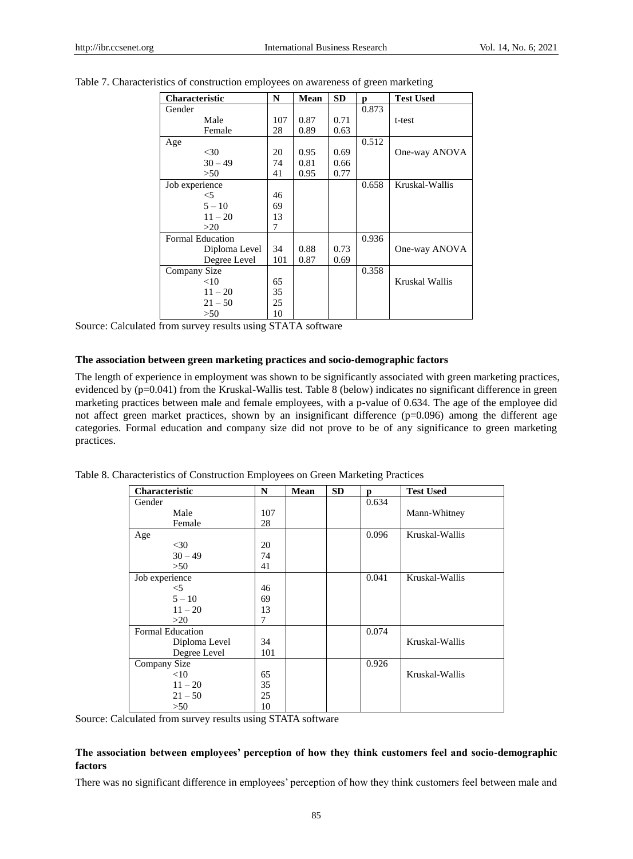| <b>Characteristic</b> | N   | <b>Mean</b> | <b>SD</b> | р     | <b>Test Used</b> |
|-----------------------|-----|-------------|-----------|-------|------------------|
| Gender                |     |             |           | 0.873 |                  |
| Male                  | 107 | 0.87        | 0.71      |       | t-test           |
| Female                | 28  | 0.89        | 0.63      |       |                  |
| Age                   |     |             |           | 0.512 |                  |
| $<$ 30                | 20  | 0.95        | 0.69      |       | One-way ANOVA    |
| $30 - 49$             | 74  | 0.81        | 0.66      |       |                  |
| >50                   | 41  | 0.95        | 0.77      |       |                  |
| Job experience        |     |             |           | 0.658 | Kruskal-Wallis   |
| $<$ 5                 | 46  |             |           |       |                  |
| $5 - 10$              | 69  |             |           |       |                  |
| $11 - 20$             | 13  |             |           |       |                  |
| >20                   | 7   |             |           |       |                  |
| Formal Education      |     |             |           | 0.936 |                  |
| Diploma Level         | 34  | 0.88        | 0.73      |       | One-way ANOVA    |
| Degree Level          | 101 | 0.87        | 0.69      |       |                  |
| Company Size          |     |             |           | 0.358 |                  |
| <10                   | 65  |             |           |       | Kruskal Wallis   |
| $11 - 20$             | 35  |             |           |       |                  |
| $21 - 50$             | 25  |             |           |       |                  |
| >50                   | 10  |             |           |       |                  |

Table 7. Characteristics of construction employees on awareness of green marketing

Source: Calculated from survey results using STATA software

## **The association between green marketing practices and socio-demographic factors**

The length of experience in employment was shown to be significantly associated with green marketing practices, evidenced by (p=0.041) from the Kruskal-Wallis test. Table 8 (below) indicates no significant difference in green marketing practices between male and female employees, with a p-value of 0.634. The age of the employee did not affect green market practices, shown by an insignificant difference  $(p=0.096)$  among the different age categories. Formal education and company size did not prove to be of any significance to green marketing practices.

|  |  | Table 8. Characteristics of Construction Employees on Green Marketing Practices |  |
|--|--|---------------------------------------------------------------------------------|--|
|  |  |                                                                                 |  |

| <b>Characteristic</b>   | N   | Mean | <b>SD</b> | p     | <b>Test Used</b> |
|-------------------------|-----|------|-----------|-------|------------------|
| Gender                  |     |      |           | 0.634 |                  |
| Male                    | 107 |      |           |       | Mann-Whitney     |
| Female                  | 28  |      |           |       |                  |
| Age                     |     |      |           | 0.096 | Kruskal-Wallis   |
| $<$ 30                  | 20  |      |           |       |                  |
| $30 - 49$               | 74  |      |           |       |                  |
| >50                     | 41  |      |           |       |                  |
| Job experience          |     |      |           | 0.041 | Kruskal-Wallis   |
| $<$ 5                   | 46  |      |           |       |                  |
| $5 - 10$                | 69  |      |           |       |                  |
| $11 - 20$               | 13  |      |           |       |                  |
| >20                     | 7   |      |           |       |                  |
| <b>Formal Education</b> |     |      |           | 0.074 |                  |
| Diploma Level           | 34  |      |           |       | Kruskal-Wallis   |
| Degree Level            | 101 |      |           |       |                  |
| Company Size            |     |      |           | 0.926 |                  |
| <10                     | 65  |      |           |       | Kruskal-Wallis   |
| $11 - 20$               | 35  |      |           |       |                  |
| $21 - 50$               | 25  |      |           |       |                  |
| >50                     | 10  |      |           |       |                  |

Source: Calculated from survey results using STATA software

# **The association between employees' perception of how they think customers feel and socio-demographic factors**

There was no significant difference in employees" perception of how they think customers feel between male and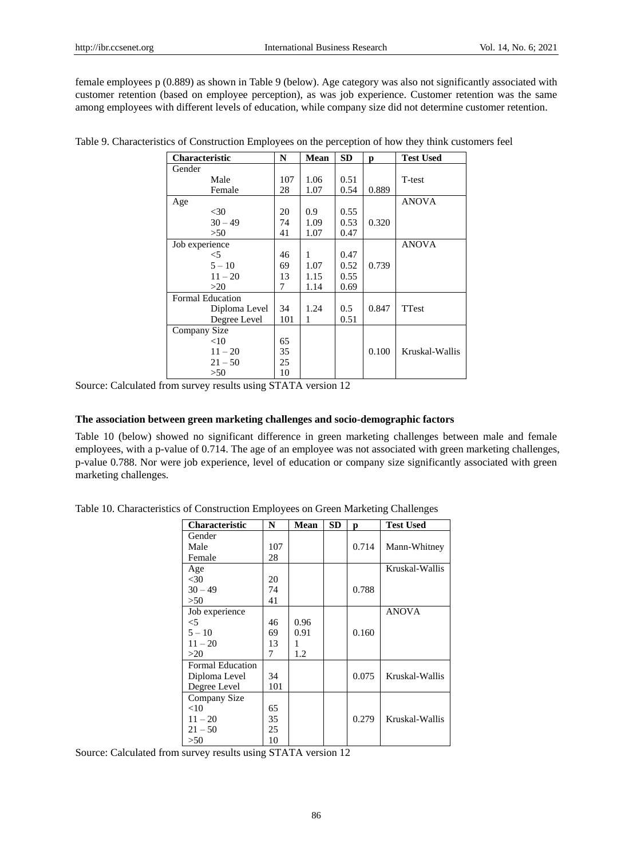female employees p (0.889) as shown in Table 9 (below). Age category was also not significantly associated with customer retention (based on employee perception), as was job experience. Customer retention was the same among employees with different levels of education, while company size did not determine customer retention.

| <b>Characteristic</b>   | N   | <b>Mean</b> | <b>SD</b> | р     | <b>Test Used</b> |
|-------------------------|-----|-------------|-----------|-------|------------------|
| Gender                  |     |             |           |       |                  |
| Male                    | 107 | 1.06        | 0.51      |       | T-test           |
| Female                  | 28  | 1.07        | 0.54      | 0.889 |                  |
| Age                     |     |             |           |       | <b>ANOVA</b>     |
| $<$ 30                  | 20  | 0.9         | 0.55      |       |                  |
| $30 - 49$               | 74  | 1.09        | 0.53      | 0.320 |                  |
| >50                     | 41  | 1.07        | 0.47      |       |                  |
| Job experience          |     |             |           |       | <b>ANOVA</b>     |
| $<$ 5                   | 46  | 1           | 0.47      |       |                  |
| $5 - 10$                | 69  | 1.07        | 0.52      | 0.739 |                  |
| $11 - 20$               | 13  | 1.15        | 0.55      |       |                  |
| >20                     | 7   | 1.14        | 0.69      |       |                  |
| <b>Formal Education</b> |     |             |           |       |                  |
| Diploma Level           | 34  | 1.24        | 0.5       | 0.847 | TTest            |
| Degree Level            | 101 | 1           | 0.51      |       |                  |
| Company Size            |     |             |           |       |                  |
| $<$ 10                  | 65  |             |           |       |                  |
| $11 - 20$               | 35  |             |           | 0.100 | Kruskal-Wallis   |
| $21 - 50$               | 25  |             |           |       |                  |
| >50                     | 10  |             |           |       |                  |

Table 9. Characteristics of Construction Employees on the perception of how they think customers feel

Source: Calculated from survey results using STATA version 12

#### **The association between green marketing challenges and socio-demographic factors**

Table 10 (below) showed no significant difference in green marketing challenges between male and female employees, with a p-value of 0.714. The age of an employee was not associated with green marketing challenges, p-value 0.788. Nor were job experience, level of education or company size significantly associated with green marketing challenges.

|  |  | Table 10. Characteristics of Construction Employees on Green Marketing Challenges |  |
|--|--|-----------------------------------------------------------------------------------|--|
|  |  |                                                                                   |  |

| <b>Characteristic</b> | N   | Mean | <b>SD</b> | р     | <b>Test Used</b> |
|-----------------------|-----|------|-----------|-------|------------------|
| Gender                |     |      |           |       |                  |
| Male                  | 107 |      |           | 0.714 | Mann-Whitney     |
| Female                | 28  |      |           |       |                  |
| Age                   |     |      |           |       | Kruskal-Wallis   |
| $<$ 30                | 20  |      |           |       |                  |
| $30 - 49$             | 74  |      |           | 0.788 |                  |
| >50                   | 41  |      |           |       |                  |
| Job experience        |     |      |           |       | <b>ANOVA</b>     |
| $\leq 5$              | 46  | 0.96 |           |       |                  |
| $5 - 10$              | 69  | 0.91 |           | 0.160 |                  |
| $11 - 20$             | 13  | 1    |           |       |                  |
| >20                   | 7   | 1.2  |           |       |                  |
| Formal Education      |     |      |           |       |                  |
| Diploma Level         | 34  |      |           | 0.075 | Kruskal-Wallis   |
| Degree Level          | 101 |      |           |       |                  |
| Company Size          |     |      |           |       |                  |
| <10                   | 65  |      |           |       |                  |
| $11 - 20$             | 35  |      |           | 0.279 | Kruskal-Wallis   |
| $21 - 50$             | 25  |      |           |       |                  |
| >50                   | 10  |      |           |       |                  |

Source: Calculated from survey results using STATA version 12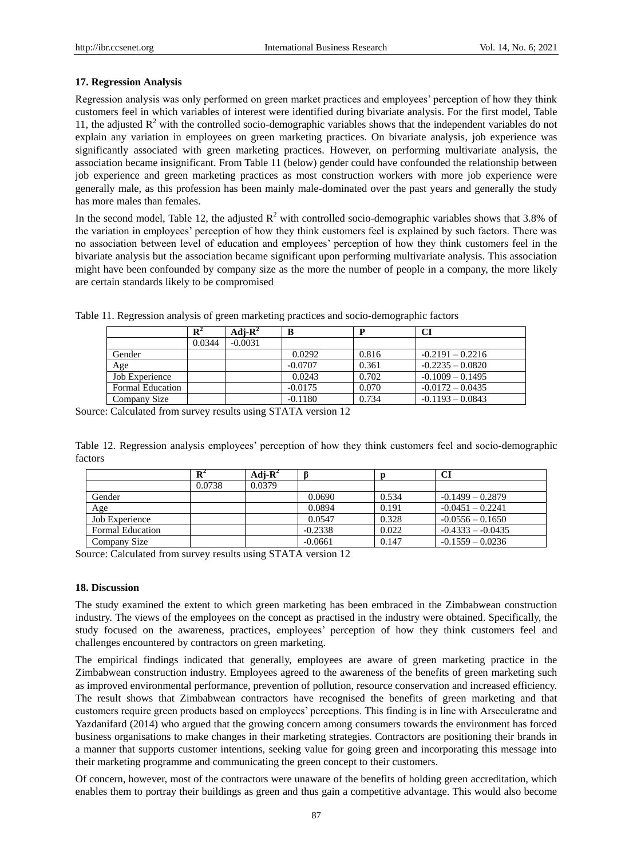# **17. Regression Analysis**

Regression analysis was only performed on green market practices and employees" perception of how they think customers feel in which variables of interest were identified during bivariate analysis. For the first model, Table 11, the adjusted  $R^2$  with the controlled socio-demographic variables shows that the independent variables do not explain any variation in employees on green marketing practices. On bivariate analysis, job experience was significantly associated with green marketing practices. However, on performing multivariate analysis, the association became insignificant. From Table 11 (below) gender could have confounded the relationship between job experience and green marketing practices as most construction workers with more job experience were generally male, as this profession has been mainly male-dominated over the past years and generally the study has more males than females.

In the second model, Table 12, the adjusted  $R^2$  with controlled socio-demographic variables shows that 3.8% of the variation in employees" perception of how they think customers feel is explained by such factors. There was no association between level of education and employees" perception of how they think customers feel in the bivariate analysis but the association became significant upon performing multivariate analysis. This association might have been confounded by company size as the more the number of people in a company, the more likely are certain standards likely to be compromised

|                         | $\mathbf{R}^2$ | Adj- $\mathbf{R}^2$ | В         |       | CI                 |
|-------------------------|----------------|---------------------|-----------|-------|--------------------|
|                         | 0.0344         | $-0.0031$           |           |       |                    |
| Gender                  |                |                     | 0.0292    | 0.816 | $-0.2191 - 0.2216$ |
| Age                     |                |                     | $-0.0707$ | 0.361 | $-0.2235 - 0.0820$ |
| Job Experience          |                |                     | 0.0243    | 0.702 | $-0.1009 - 0.1495$ |
| <b>Formal Education</b> |                |                     | $-0.0175$ | 0.070 | $-0.0172 - 0.0435$ |
| Company Size            |                |                     | $-0.1180$ | 0.734 | $-0.1193 - 0.0843$ |

Table 11. Regression analysis of green marketing practices and socio-demographic factors

Source: Calculated from survey results using STATA version 12

Table 12. Regression analysis employees" perception of how they think customers feel and socio-demographic factors

|                  | $\mathbf{R}^2$ | Adi- $\mathbf{R}^2$ |           |       | Cl                 |
|------------------|----------------|---------------------|-----------|-------|--------------------|
|                  | 0.0738         | 0.0379              |           |       |                    |
| Gender           |                |                     | 0.0690    | 0.534 | $-0.1499 - 0.2879$ |
| Age              |                |                     | 0.0894    | 0.191 | $-0.0451 - 0.2241$ |
| Job Experience   |                |                     | 0.0547    | 0.328 | $-0.0556 - 0.1650$ |
| Formal Education |                |                     | $-0.2338$ | 0.022 | $-0.4333 - 0.0435$ |
| Company Size     |                |                     | $-0.0661$ | 0.147 | $-0.1559 - 0.0236$ |

Source: Calculated from survey results using STATA version 12

# **18. Discussion**

The study examined the extent to which green marketing has been embraced in the Zimbabwean construction industry. The views of the employees on the concept as practised in the industry were obtained. Specifically, the study focused on the awareness, practices, employees" perception of how they think customers feel and challenges encountered by contractors on green marketing.

The empirical findings indicated that generally, employees are aware of green marketing practice in the Zimbabwean construction industry. Employees agreed to the awareness of the benefits of green marketing such as improved environmental performance, prevention of pollution, resource conservation and increased efficiency. The result shows that Zimbabwean contractors have recognised the benefits of green marketing and that customers require green products based on employees" perceptions. This finding is in line with Arseculeratne and Yazdanifard (2014) who argued that the growing concern among consumers towards the environment has forced business organisations to make changes in their marketing strategies. Contractors are positioning their brands in a manner that supports customer intentions, seeking value for going green and incorporating this message into their marketing programme and communicating the green concept to their customers.

Of concern, however, most of the contractors were unaware of the benefits of holding green accreditation, which enables them to portray their buildings as green and thus gain a competitive advantage. This would also become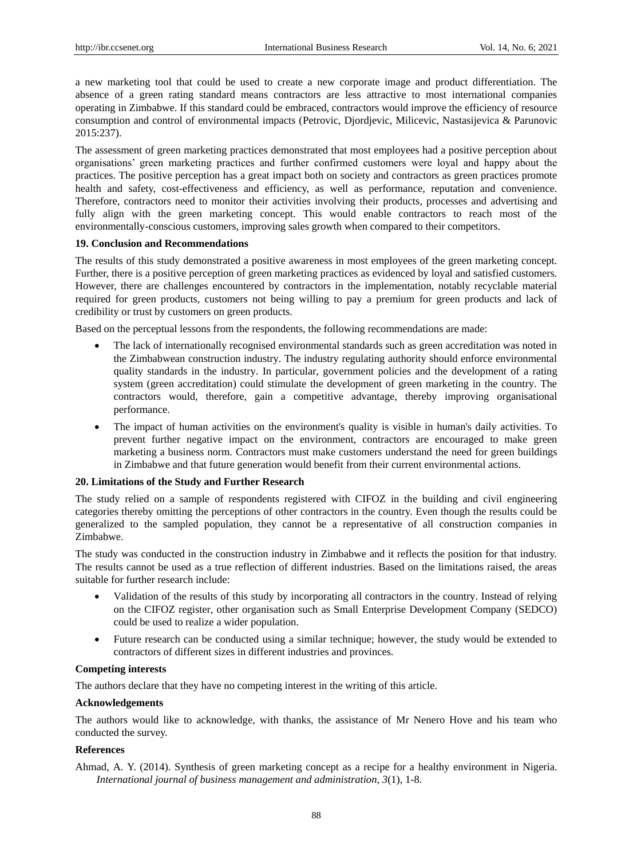a new marketing tool that could be used to create a new corporate image and product differentiation. The absence of a green rating standard means contractors are less attractive to most international companies operating in Zimbabwe. If this standard could be embraced, contractors would improve the efficiency of resource consumption and control of environmental impacts (Petrovic, Djordjevic, Milicevic, Nastasijevica & Parunovic 2015:237).

The assessment of green marketing practices demonstrated that most employees had a positive perception about organisations" green marketing practices and further confirmed customers were loyal and happy about the practices. The positive perception has a great impact both on society and contractors as green practices promote health and safety, cost-effectiveness and efficiency, as well as performance, reputation and convenience. Therefore, contractors need to monitor their activities involving their products, processes and advertising and fully align with the green marketing concept. This would enable contractors to reach most of the environmentally-conscious customers, improving sales growth when compared to their competitors.

## **19. Conclusion and Recommendations**

The results of this study demonstrated a positive awareness in most employees of the green marketing concept. Further, there is a positive perception of green marketing practices as evidenced by loyal and satisfied customers. However, there are challenges encountered by contractors in the implementation, notably recyclable material required for green products, customers not being willing to pay a premium for green products and lack of credibility or trust by customers on green products.

Based on the perceptual lessons from the respondents, the following recommendations are made:

- The lack of internationally recognised environmental standards such as green accreditation was noted in the Zimbabwean construction industry. The industry regulating authority should enforce environmental quality standards in the industry. In particular, government policies and the development of a rating system (green accreditation) could stimulate the development of green marketing in the country. The contractors would, therefore, gain a competitive advantage, thereby improving organisational performance.
- The impact of human activities on the environment's quality is visible in human's daily activities. To prevent further negative impact on the environment, contractors are encouraged to make green marketing a business norm. Contractors must make customers understand the need for green buildings in Zimbabwe and that future generation would benefit from their current environmental actions.

# **20. Limitations of the Study and Further Research**

The study relied on a sample of respondents registered with CIFOZ in the building and civil engineering categories thereby omitting the perceptions of other contractors in the country. Even though the results could be generalized to the sampled population, they cannot be a representative of all construction companies in Zimbabwe.

The study was conducted in the construction industry in Zimbabwe and it reflects the position for that industry. The results cannot be used as a true reflection of different industries. Based on the limitations raised, the areas suitable for further research include:

- Validation of the results of this study by incorporating all contractors in the country. Instead of relying on the CIFOZ register, other organisation such as Small Enterprise Development Company (SEDCO) could be used to realize a wider population.
- Future research can be conducted using a similar technique; however, the study would be extended to contractors of different sizes in different industries and provinces.

## **Competing interests**

The authors declare that they have no competing interest in the writing of this article.

#### **Acknowledgements**

The authors would like to acknowledge, with thanks, the assistance of Mr Nenero Hove and his team who conducted the survey.

## **References**

Ahmad, A. Y. (2014). Synthesis of green marketing concept as a recipe for a healthy environment in Nigeria. *International journal of business management and administration*, *3*(1), 1-8.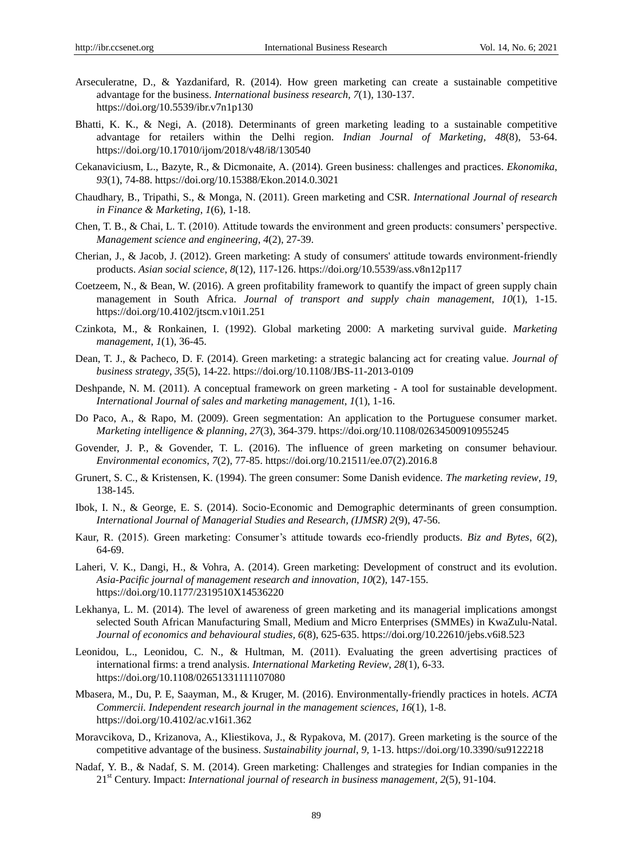- Arseculeratne, D., & Yazdanifard, R. (2014). How green marketing can create a sustainable competitive advantage for the business. *International business research, 7*(1), 130-137. https://doi.org/10.5539/ibr.v7n1p130
- Bhatti, K. K., & Negi, A. (2018). Determinants of green marketing leading to a sustainable competitive advantage for retailers within the Delhi region. *Indian Journal of Marketing*, *48*(8), 53-64. https://doi.org/10.17010/ijom/2018/v48/i8/130540
- Cekanaviciusm, L., Bazyte, R., & Dicmonaite, A. (2014). Green business: challenges and practices. *Ekonomika*, *93*(1), 74-88. https://doi.org/10.15388/Ekon.2014.0.3021
- Chaudhary, B., Tripathi, S., & Monga, N. (2011). Green marketing and CSR. *International Journal of research in Finance & Marketing*, *1*(6), 1-18.
- Chen, T. B., & Chai, L. T. (2010). Attitude towards the environment and green products: consumers" perspective. *Management science and engineering*, *4*(2), 27-39.
- Cherian, J., & Jacob, J. (2012). Green marketing: A study of consumers' attitude towards environment-friendly products. *Asian social science*, *8*(12), 117-126. https://doi.org/10.5539/ass.v8n12p117
- Coetzeem, N., & Bean, W. (2016). A green profitability framework to quantify the impact of green supply chain management in South Africa. *Journal of transport and supply chain management*, *10*(1), 1-15. https://doi.org/10.4102/jtscm.v10i1.251
- Czinkota, M., & Ronkainen, I. (1992). Global marketing 2000: A marketing survival guide. *Marketing management*, *1*(1), 36-45.
- Dean, T. J., & Pacheco, D. F. (2014). Green marketing: a strategic balancing act for creating value. *Journal of business strategy*, *35*(5), 14-22. https://doi.org/10.1108/JBS-11-2013-0109
- Deshpande, N. M. (2011). A conceptual framework on green marketing A tool for sustainable development. *International Journal of sales and marketing management*, *1*(1), 1-16.
- Do Paco, A., & Rapo, M. (2009). Green segmentation: An application to the Portuguese consumer market. *Marketing intelligence & planning*, *27*(3), 364-379. https://doi.org/10.1108/02634500910955245
- Govender, J. P., & Govender, T. L. (2016). The influence of green marketing on consumer behaviour. *Environmental economics*, *7*(2), 77-85. https://doi.org/10.21511/ee.07(2).2016.8
- Grunert, S. C., & Kristensen, K. (1994). The green consumer: Some Danish evidence. *The marketing review*, *19,*  138-145.
- Ibok, I. N., & George, E. S. (2014). Socio-Economic and Demographic determinants of green consumption. *International Journal of Managerial Studies and Research, (IJMSR) 2*(9), 47-56.
- Kaur, R. (2015). Green marketing: Consumer"s attitude towards eco-friendly products. *Biz and Bytes*, *6*(2), 64-69.
- Laheri, V. K., Dangi, H., & Vohra, A. (2014). Green marketing: Development of construct and its evolution. *Asia-Pacific journal of management research and innovation*, *10*(2), 147-155. https://doi.org/10.1177/2319510X14536220
- Lekhanya, L. M. (2014). The level of awareness of green marketing and its managerial implications amongst selected South African Manufacturing Small, Medium and Micro Enterprises (SMMEs) in KwaZulu-Natal. *Journal of economics and behavioural studies, 6*(8), 625-635. https://doi.org/10.22610/jebs.v6i8.523
- Leonidou, L., Leonidou, C. N., & Hultman, M. (2011). Evaluating the green advertising practices of international firms: a trend analysis. *International Marketing Review*, *28*(1), 6-33. https://doi.org/10.1108/02651331111107080
- Mbasera, M., Du, P. E, Saayman, M., & Kruger, M. (2016). Environmentally-friendly practices in hotels. *ACTA Commercii. Independent research journal in the management sciences*, *16*(1), 1-8. https://doi.org/10.4102/ac.v16i1.362
- Moravcikova, D., Krizanova, A., Kliestikova, J., & Rypakova, M. (2017). Green marketing is the source of the competitive advantage of the business. *Sustainability journal*, *9,* 1-13. https://doi.org/10.3390/su9122218
- Nadaf, Y. B., & Nadaf, S. M. (2014). Green marketing: Challenges and strategies for Indian companies in the 21st Century. Impact: *International journal of research in business management, 2*(5), 91-104.